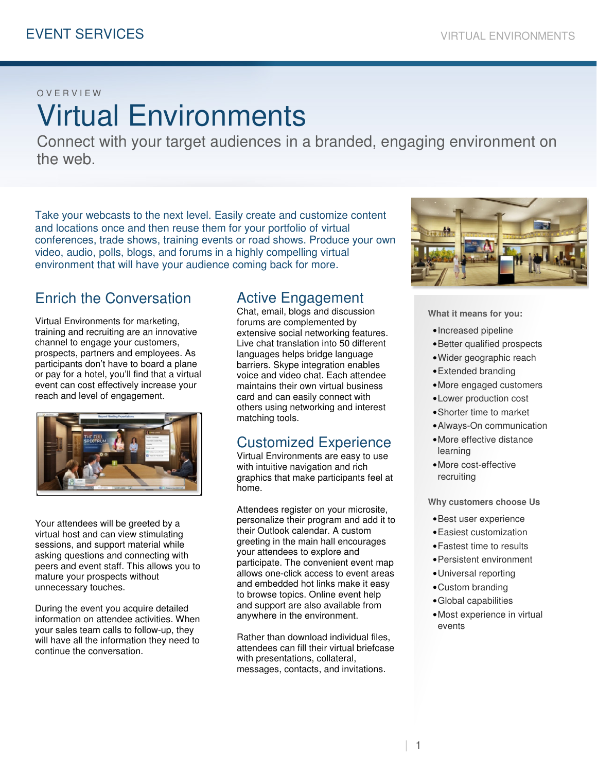#### O V E R V I E W

# Virtual Environments

Connect with your target audiences in a branded, engaging environment on the web.

Take your webcasts to the next level. Easily create and customize content and locations once and then reuse them for your portfolio of virtual conferences, trade shows, training events or road shows. Produce your own video, audio, polls, blogs, and forums in a highly compelling virtual environment that will have your audience coming back for more.

## Enrich the Conversation

Virtual Environments for marketing, training and recruiting are an innovative channel to engage your customers, prospects, partners and employees. As participants don't have to board a plane or pay for a hotel, you'll find that a virtual event can cost effectively increase your reach and level of engagement.



Your attendees will be greeted by a virtual host and can view stimulating sessions, and support material while asking questions and connecting with peers and event staff. This allows you to mature your prospects without unnecessary touches.

During the event you acquire detailed information on attendee activities. When your sales team calls to follow-up, they will have all the information they need to continue the conversation.

## Active Engagement

Chat, email, blogs and discussion forums are complemented by extensive social networking features. Live chat translation into 50 different languages helps bridge language barriers. Skype integration enables voice and video chat. Each attendee maintains their own virtual business card and can easily connect with others using networking and interest matching tools.

## Customized Experience

Virtual Environments are easy to use with intuitive navigation and rich graphics that make participants feel at home.

Attendees register on your microsite, personalize their program and add it to their Outlook calendar. A custom greeting in the main hall encourages your attendees to explore and participate. The convenient event map allows one-click access to event areas and embedded hot links make it easy to browse topics. Online event help and support are also available from anywhere in the environment.

Rather than download individual files, attendees can fill their virtual briefcase with presentations, collateral, messages, contacts, and invitations.



**What it means for you:**

- •Increased pipeline
- •Better qualified prospects
- •Wider geographic reach
- •Extended branding
- •More engaged customers
- •Lower production cost
- •Shorter time to market
- •Always-On communication
- •More effective distance learning
- •More cost-effective recruiting

**Why customers choose Us** 

- •Best user experience
- •Easiest customization
- •Fastest time to results
- •Persistent environment
- •Universal reporting
- •Custom branding
- •Global capabilities
- •Most experience in virtual events